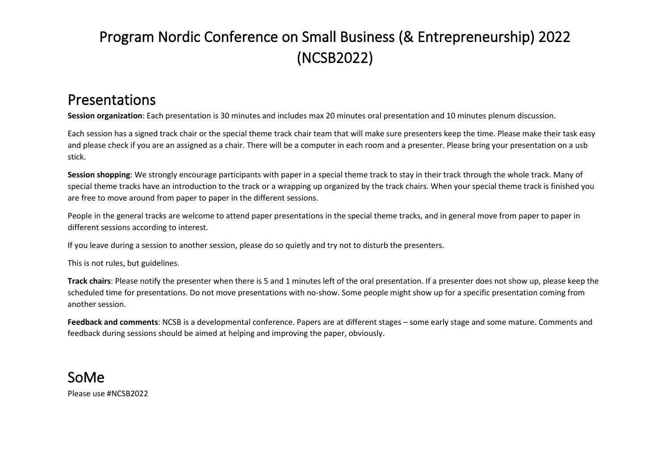## Program Nordic Conference on Small Business (& Entrepreneurship) 2022 (NCSB2022)

## Presentations

**Session organization**: Each presentation is 30 minutes and includes max 20 minutes oral presentation and 10 minutes plenum discussion.

Each session has a signed track chair or the special theme track chair team that will make sure presenters keep the time. Please make their task easy and please check if you are an assigned as a chair. There will be a computer in each room and a presenter. Please bring your presentation on a usb stick.

**Session shopping**: We strongly encourage participants with paper in a special theme track to stay in their track through the whole track. Many of special theme tracks have an introduction to the track or a wrapping up organized by the track chairs. When your special theme track is finished you are free to move around from paper to paper in the different sessions.

People in the general tracks are welcome to attend paper presentations in the special theme tracks, and in general move from paper to paper in different sessions according to interest.

If you leave during a session to another session, please do so quietly and try not to disturb the presenters.

This is not rules, but guidelines.

**Track chairs**: Please notify the presenter when there is 5 and 1 minutes left of the oral presentation. If a presenter does not show up, please keep the scheduled time for presentations. Do not move presentations with no-show. Some people might show up for a specific presentation coming from another session.

**Feedback and comments**: NCSB is a developmental conference. Papers are at different stages – some early stage and some mature. Comments and feedback during sessions should be aimed at helping and improving the paper, obviously.

## SoMe Please use #NCSB2022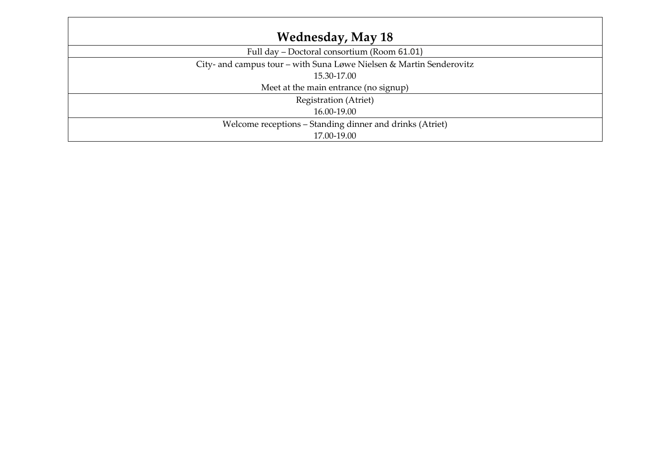| <b>Wednesday, May 18</b>                                            |
|---------------------------------------------------------------------|
| Full day - Doctoral consortium (Room 61.01)                         |
| City- and campus tour - with Suna Løwe Nielsen & Martin Senderovitz |
| 15.30-17.00                                                         |
| Meet at the main entrance (no signup)                               |
| Registration (Atriet)                                               |
| 16.00-19.00                                                         |
| Welcome receptions - Standing dinner and drinks (Atriet)            |
| 17.00-19.00                                                         |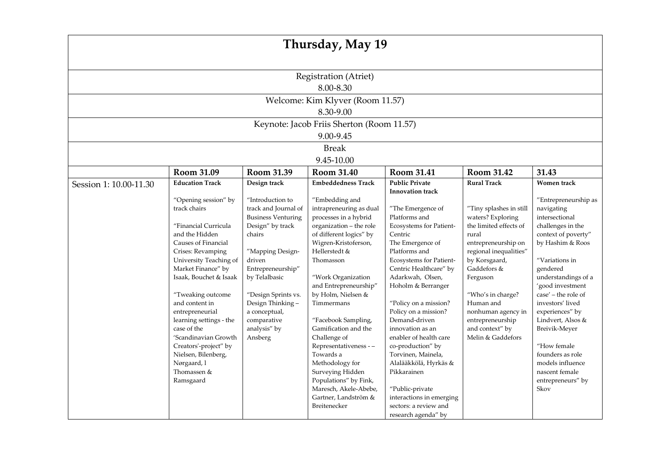|                        |                                                                                                                                                                                                                                                                                  |                                                                                                                                                                                                                                                | Thursday, May 19                                                                                                                                                                                                                                                                                  |                                                                                                                                                                                                                                                                                                    |                                                                                                                                                                                                                                                                             |                                                                                                                                                                                                                                                                           |  |  |
|------------------------|----------------------------------------------------------------------------------------------------------------------------------------------------------------------------------------------------------------------------------------------------------------------------------|------------------------------------------------------------------------------------------------------------------------------------------------------------------------------------------------------------------------------------------------|---------------------------------------------------------------------------------------------------------------------------------------------------------------------------------------------------------------------------------------------------------------------------------------------------|----------------------------------------------------------------------------------------------------------------------------------------------------------------------------------------------------------------------------------------------------------------------------------------------------|-----------------------------------------------------------------------------------------------------------------------------------------------------------------------------------------------------------------------------------------------------------------------------|---------------------------------------------------------------------------------------------------------------------------------------------------------------------------------------------------------------------------------------------------------------------------|--|--|
| Registration (Atriet)  |                                                                                                                                                                                                                                                                                  |                                                                                                                                                                                                                                                |                                                                                                                                                                                                                                                                                                   |                                                                                                                                                                                                                                                                                                    |                                                                                                                                                                                                                                                                             |                                                                                                                                                                                                                                                                           |  |  |
| 8.00-8.30              |                                                                                                                                                                                                                                                                                  |                                                                                                                                                                                                                                                |                                                                                                                                                                                                                                                                                                   |                                                                                                                                                                                                                                                                                                    |                                                                                                                                                                                                                                                                             |                                                                                                                                                                                                                                                                           |  |  |
|                        |                                                                                                                                                                                                                                                                                  |                                                                                                                                                                                                                                                | Welcome: Kim Klyver (Room 11.57)                                                                                                                                                                                                                                                                  |                                                                                                                                                                                                                                                                                                    |                                                                                                                                                                                                                                                                             |                                                                                                                                                                                                                                                                           |  |  |
|                        |                                                                                                                                                                                                                                                                                  |                                                                                                                                                                                                                                                | 8.30-9.00                                                                                                                                                                                                                                                                                         |                                                                                                                                                                                                                                                                                                    |                                                                                                                                                                                                                                                                             |                                                                                                                                                                                                                                                                           |  |  |
|                        |                                                                                                                                                                                                                                                                                  |                                                                                                                                                                                                                                                | Keynote: Jacob Friis Sherton (Room 11.57)                                                                                                                                                                                                                                                         |                                                                                                                                                                                                                                                                                                    |                                                                                                                                                                                                                                                                             |                                                                                                                                                                                                                                                                           |  |  |
|                        |                                                                                                                                                                                                                                                                                  |                                                                                                                                                                                                                                                | 9.00-9.45                                                                                                                                                                                                                                                                                         |                                                                                                                                                                                                                                                                                                    |                                                                                                                                                                                                                                                                             |                                                                                                                                                                                                                                                                           |  |  |
|                        |                                                                                                                                                                                                                                                                                  |                                                                                                                                                                                                                                                | <b>Break</b>                                                                                                                                                                                                                                                                                      |                                                                                                                                                                                                                                                                                                    |                                                                                                                                                                                                                                                                             |                                                                                                                                                                                                                                                                           |  |  |
|                        |                                                                                                                                                                                                                                                                                  |                                                                                                                                                                                                                                                | 9.45-10.00                                                                                                                                                                                                                                                                                        |                                                                                                                                                                                                                                                                                                    |                                                                                                                                                                                                                                                                             |                                                                                                                                                                                                                                                                           |  |  |
|                        | Room 31.09                                                                                                                                                                                                                                                                       | Room 31.39                                                                                                                                                                                                                                     | Room 31.40                                                                                                                                                                                                                                                                                        | Room 31.41                                                                                                                                                                                                                                                                                         | Room 31.42                                                                                                                                                                                                                                                                  | 31.43                                                                                                                                                                                                                                                                     |  |  |
| Session 1: 10.00-11.30 | <b>Education Track</b>                                                                                                                                                                                                                                                           | Design track                                                                                                                                                                                                                                   | <b>Embeddedness Track</b>                                                                                                                                                                                                                                                                         | <b>Public Private</b><br><b>Innovation track</b>                                                                                                                                                                                                                                                   | <b>Rural Track</b>                                                                                                                                                                                                                                                          | Women track                                                                                                                                                                                                                                                               |  |  |
|                        | track chairs<br>"Financial Curricula<br>and the Hidden<br>Causes of Financial<br>Crises: Revamping<br>University Teaching of<br>Market Finance" by<br>Isaak, Bouchet & Isaak<br>"Tweaking outcome<br>and content in<br>entrepreneurial<br>learning settings - the<br>case of the | track and Journal of<br><b>Business Venturing</b><br>Design" by track<br>chairs<br>"Mapping Design-<br>driven<br>Entrepreneurship"<br>by Telalbasic<br>"Design Sprints vs.<br>Design Thinking-<br>a conceptual,<br>comparative<br>analysis" by | intrapreneuring as dual<br>processes in a hybrid<br>organization - the role<br>of different logics" by<br>Wigren-Kristoferson,<br>Hellerstedt $\&$<br>Thomasson<br>"Work Organization<br>and Entrepreneurship"<br>by Holm, Nielsen &<br>Timmermans<br>"Facebook Sampling,<br>Gamification and the | "The Emergence of<br>Platforms and<br>Ecosystems for Patient-<br>Centric<br>The Emergence of<br>Platforms and<br>Ecosystems for Patient-<br>Centric Healthcare" by<br>Adarkwah, Olsen,<br>Hoholm & Berranger<br>"Policy on a mission?<br>Policy on a mission?<br>Demand-driven<br>innovation as an | "Tiny splashes in still<br>waters? Exploring<br>the limited effects of<br>rural<br>entrepreneurship on<br>regional inequalities"<br>by Korsgaard,<br>Gaddefors &<br>Ferguson<br>"Who's in charge?<br>Human and<br>nonhuman agency in<br>entrepreneurship<br>and context" by | navigating<br>intersectional<br>challenges in the<br>context of poverty"<br>by Hashim & Roos<br>"Variations in<br>gendered<br>understandings of a<br>'good investment<br>case' - the role of<br>investors' lived<br>experiences" by<br>Lindvert, Alsos &<br>Breivik-Meyer |  |  |
|                        | 'Scandinavian Growth<br>Creators'-project" by<br>Nielsen, Bilenberg,<br>Nørgaard, l<br>Thomassen &<br>Ramsgaard                                                                                                                                                                  | Ansberg                                                                                                                                                                                                                                        | Challenge of<br>Representativeness --<br>Towards a<br>Methodology for<br>Surveying Hidden<br>Populations" by Fink,<br>Maresch, Akele-Abebe,<br>Gartner, Landström &<br>Breitenecker                                                                                                               | enabler of health care<br>co-production" by<br>Torvinen, Mainela,<br>Alalääkkölä, Hyrkäs &<br>Pikkarainen<br>"Public-private<br>interactions in emerging<br>sectors: a review and<br>research agenda" by                                                                                           | Melin & Gaddefors                                                                                                                                                                                                                                                           | "How female<br>founders as role<br>models influence<br>nascent female<br>entrepreneurs" by<br>Skov                                                                                                                                                                        |  |  |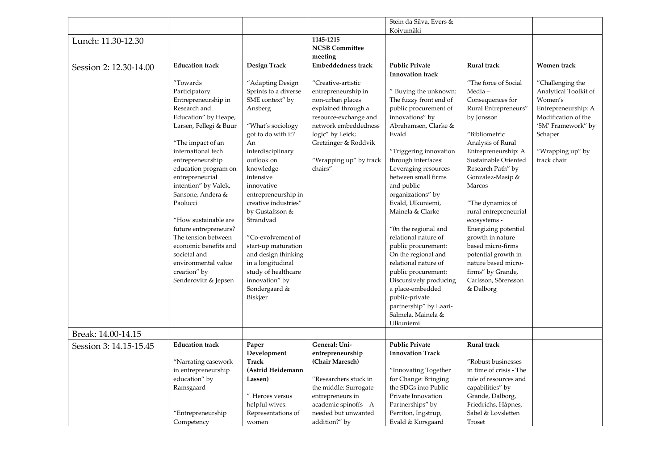|                        |                                          |                                             |                           | Stein da Silva, Evers &                     |                                       |                       |
|------------------------|------------------------------------------|---------------------------------------------|---------------------------|---------------------------------------------|---------------------------------------|-----------------------|
|                        |                                          |                                             |                           | Koivumäki                                   |                                       |                       |
| Lunch: 11.30-12.30     |                                          |                                             | 1145-1215                 |                                             |                                       |                       |
|                        |                                          |                                             | <b>NCSB Committee</b>     |                                             |                                       |                       |
|                        |                                          |                                             | meeting                   |                                             |                                       |                       |
| Session 2: 12.30-14.00 | <b>Education</b> track                   | Design Track                                | <b>Embeddedness track</b> | <b>Public Private</b>                       | Rural track                           | Women track           |
|                        |                                          |                                             |                           | <b>Innovation track</b>                     |                                       |                       |
|                        | "Towards                                 | "Adapting Design                            | "Creative-artistic        |                                             | "The force of Social                  | "Challenging the      |
|                        | Participatory                            | Sprints to a diverse                        | entrepreneurship in       | " Buying the unknown:                       | Media-                                | Analytical Toolkit of |
|                        | Entrepreneurship in                      | SME context" by                             | non-urban places          | The fuzzy front end of                      | Consequences for                      | Women's               |
|                        | Research and                             | Ansberg                                     | explained through a       | public procurement of                       | Rural Entrepreneurs"                  | Entrepreneurship: A   |
|                        | Education" by Heape,                     |                                             | resource-exchange and     | innovations" by                             | by Jonsson                            | Modification of the   |
|                        | Larsen, Fellegi & Buur                   | "What's sociology                           | network embeddedness      | Abrahamsen, Clarke &                        |                                       | '5M' Framework" by    |
|                        |                                          | got to do with it?                          | logic" by Leick;          | Evald                                       | "Bibliometric                         | Schaper               |
|                        | "The impact of an                        | An                                          | Gretzinger & Roddvik      |                                             | Analysis of Rural                     |                       |
|                        | international tech                       | interdisciplinary                           |                           | "Triggering innovation                      | Entrepreneurship: A                   | "Wrapping up" by      |
|                        |                                          | outlook on                                  | "Wrapping up" by track    | through interfaces:                         | Sustainable Oriented                  | track chair           |
|                        | entrepreneurship<br>education program on |                                             | chairs"                   |                                             |                                       |                       |
|                        | entrepreneurial                          | knowledge-<br>intensive                     |                           | Leveraging resources<br>between small firms | Research Path" by<br>Gonzalez-Masip & |                       |
|                        | intention" by Valek,                     | innovative                                  |                           |                                             | Marcos                                |                       |
|                        | Sansone, Andera &                        |                                             |                           | and public                                  |                                       |                       |
|                        | Paolucci                                 | entrepreneurship in<br>creative industries" |                           | organizations" by                           |                                       |                       |
|                        |                                          |                                             |                           | Evald, Ulkuniemi,                           | "The dynamics of                      |                       |
|                        |                                          | by Gustafsson &<br>Strandvad                |                           | Mainela & Clarke                            | rural entrepreneurial                 |                       |
|                        | "How sustainable are                     |                                             |                           |                                             | ecosystems -                          |                       |
|                        | future entrepreneurs?                    |                                             |                           | "On the regional and                        | Energizing potential                  |                       |
|                        | The tension between                      | "Co-evolvement of                           |                           | relational nature of                        | growth in nature                      |                       |
|                        | economic benefits and                    | start-up maturation                         |                           | public procurement:                         | based micro-firms                     |                       |
|                        | societal and                             | and design thinking                         |                           | On the regional and                         | potential growth in                   |                       |
|                        | environmental value                      | in a longitudinal                           |                           | relational nature of                        | nature based micro-                   |                       |
|                        | creation" by                             | study of healthcare                         |                           | public procurement:                         | firms" by Grande,                     |                       |
|                        | Senderovitz & Jepsen                     | innovation" by                              |                           | Discursively producing                      | Carlsson, Sörensson                   |                       |
|                        |                                          | Søndergaard &                               |                           | a place-embedded                            | & Dalborg                             |                       |
|                        |                                          | Biskjær                                     |                           | public-private                              |                                       |                       |
|                        |                                          |                                             |                           | partnership" by Laari-                      |                                       |                       |
|                        |                                          |                                             |                           | Salmela, Mainela &                          |                                       |                       |
|                        |                                          |                                             |                           | Ulkuniemi                                   |                                       |                       |
| Break: 14.00-14.15     |                                          |                                             |                           |                                             |                                       |                       |
| Session 3: 14.15-15.45 | <b>Education track</b>                   | Paper                                       | General: Uni-             | <b>Public Private</b>                       | Rural track                           |                       |
|                        |                                          | Development                                 | entrepreneurship          | <b>Innovation Track</b>                     |                                       |                       |
|                        | "Narrating casework                      | <b>Track</b>                                | (Chair Maresch)           |                                             | "Robust businesses                    |                       |
|                        | in entrepreneurship                      | (Astrid Heidemann                           |                           | "Innovating Together                        | in time of crisis - The               |                       |
|                        | education" by                            | Lassen)                                     | "Researchers stuck in     | for Change: Bringing                        | role of resources and                 |                       |
|                        | Ramsgaard                                |                                             | the middle: Surrogate     | the SDGs into Public-                       | capabilities" by                      |                       |
|                        |                                          | " Heroes versus                             | entrepreneurs in          | Private Innovation                          | Grande, Dalborg,                      |                       |
|                        |                                          | helpful wives:                              | academic spinoffs - A     | Partnerships" by                            | Friedrichs, Håpnes,                   |                       |
|                        | "Entrepreneurship                        | Representations of                          | needed but unwanted       | Perriton, Ingstrup,                         | Sabel & Løvsletten                    |                       |
|                        | Competency                               | women                                       | addition?" by             | Evald & Korsgaard                           | Troset                                |                       |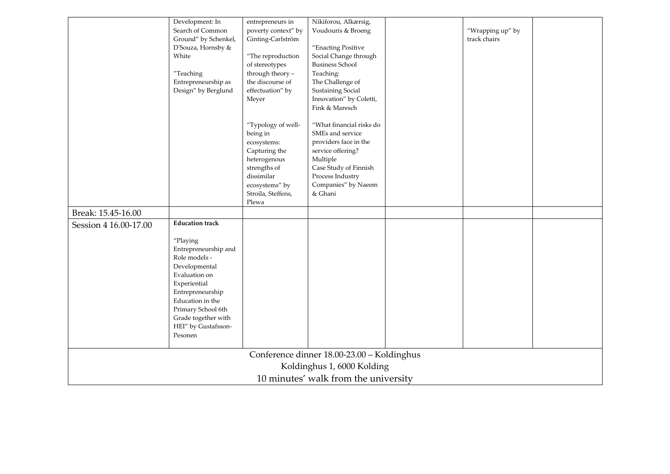|                                            | Development: In<br>Search of Common<br>Ground" by Schenkel,<br>D'Souza, Hornsby &<br>White<br>"Teaching<br>Entrepreneurship as<br>Design" by Berglund                                                                                                | entrepreneurs in<br>poverty context" by<br>Ginting-Carlström<br>"The reproduction<br>of stereotypes<br>through theory -<br>the discourse of<br>effectuation" by | Nikiforou, Alkærsig,<br>Voudouris & Broeng<br>"Enacting Positive<br>Social Change through<br><b>Business School</b><br>Teaching:<br>The Challenge of<br><b>Sustaining Social</b>                                                   |  | "Wrapping up" by<br>track chairs |  |
|--------------------------------------------|------------------------------------------------------------------------------------------------------------------------------------------------------------------------------------------------------------------------------------------------------|-----------------------------------------------------------------------------------------------------------------------------------------------------------------|------------------------------------------------------------------------------------------------------------------------------------------------------------------------------------------------------------------------------------|--|----------------------------------|--|
|                                            |                                                                                                                                                                                                                                                      | Meyer<br>"Typology of well-<br>being in<br>ecosystems:<br>Capturing the<br>heterogenous<br>strengths of<br>dissimilar<br>ecosystems" by<br>Stroila, Steffens,   | Innovation" by Coletti,<br>Fink & Maresch<br>"What financial risks do<br>SMEs and service<br>providers face in the<br>service offering?<br>Multiple<br>Case Study of Finnish<br>Process Industry<br>Companies" by Naeem<br>& Ghani |  |                                  |  |
| Break: 15.45-16.00                         |                                                                                                                                                                                                                                                      | Plewa                                                                                                                                                           |                                                                                                                                                                                                                                    |  |                                  |  |
| Session 4 16.00-17.00                      | <b>Education track</b><br>"Playing<br>Entrepreneurship and<br>Role models -<br>Developmental<br>Evaluation on<br>Experiential<br>Entrepreneurship<br>Education in the<br>Primary School 6th<br>Grade together with<br>HEI" by Gustafsson-<br>Pesonen |                                                                                                                                                                 |                                                                                                                                                                                                                                    |  |                                  |  |
| Conference dinner 18.00-23.00 - Koldinghus |                                                                                                                                                                                                                                                      |                                                                                                                                                                 |                                                                                                                                                                                                                                    |  |                                  |  |
| Koldinghus 1, 6000 Kolding                 |                                                                                                                                                                                                                                                      |                                                                                                                                                                 |                                                                                                                                                                                                                                    |  |                                  |  |
| 10 minutes' walk from the university       |                                                                                                                                                                                                                                                      |                                                                                                                                                                 |                                                                                                                                                                                                                                    |  |                                  |  |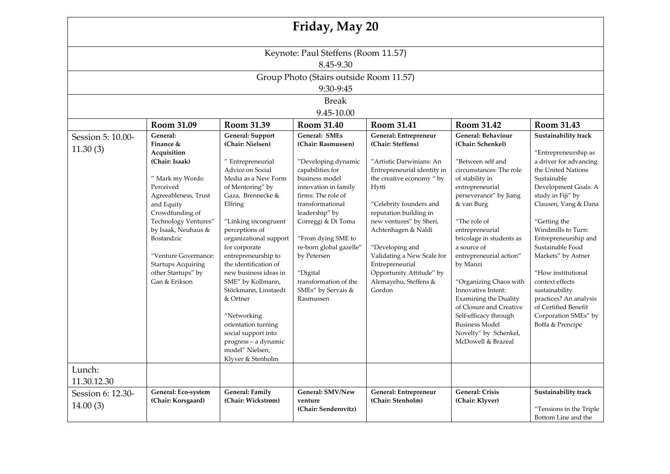| Friday, May 20                          |                                                                                                                                                                                                                                                                   |                                                                                                                                                                                                                                                                                                                                                                                                                                                                      |                                                                                                                                                                                                                                                                                                             |                                                                                                                                                                                                                                                                                                                                         |                                                                                                                                                                                                                                                                                                                                                                                                                                                             |                                                                                                                                                                                                                                                                                                                                                                                                   |  |  |
|-----------------------------------------|-------------------------------------------------------------------------------------------------------------------------------------------------------------------------------------------------------------------------------------------------------------------|----------------------------------------------------------------------------------------------------------------------------------------------------------------------------------------------------------------------------------------------------------------------------------------------------------------------------------------------------------------------------------------------------------------------------------------------------------------------|-------------------------------------------------------------------------------------------------------------------------------------------------------------------------------------------------------------------------------------------------------------------------------------------------------------|-----------------------------------------------------------------------------------------------------------------------------------------------------------------------------------------------------------------------------------------------------------------------------------------------------------------------------------------|-------------------------------------------------------------------------------------------------------------------------------------------------------------------------------------------------------------------------------------------------------------------------------------------------------------------------------------------------------------------------------------------------------------------------------------------------------------|---------------------------------------------------------------------------------------------------------------------------------------------------------------------------------------------------------------------------------------------------------------------------------------------------------------------------------------------------------------------------------------------------|--|--|
| Keynote: Paul Steffens (Room 11.57)     |                                                                                                                                                                                                                                                                   |                                                                                                                                                                                                                                                                                                                                                                                                                                                                      |                                                                                                                                                                                                                                                                                                             |                                                                                                                                                                                                                                                                                                                                         |                                                                                                                                                                                                                                                                                                                                                                                                                                                             |                                                                                                                                                                                                                                                                                                                                                                                                   |  |  |
| 8.45-9.30                               |                                                                                                                                                                                                                                                                   |                                                                                                                                                                                                                                                                                                                                                                                                                                                                      |                                                                                                                                                                                                                                                                                                             |                                                                                                                                                                                                                                                                                                                                         |                                                                                                                                                                                                                                                                                                                                                                                                                                                             |                                                                                                                                                                                                                                                                                                                                                                                                   |  |  |
| Group Photo (Stairs outside Room 11.57) |                                                                                                                                                                                                                                                                   |                                                                                                                                                                                                                                                                                                                                                                                                                                                                      |                                                                                                                                                                                                                                                                                                             |                                                                                                                                                                                                                                                                                                                                         |                                                                                                                                                                                                                                                                                                                                                                                                                                                             |                                                                                                                                                                                                                                                                                                                                                                                                   |  |  |
| 9:30-9:45                               |                                                                                                                                                                                                                                                                   |                                                                                                                                                                                                                                                                                                                                                                                                                                                                      |                                                                                                                                                                                                                                                                                                             |                                                                                                                                                                                                                                                                                                                                         |                                                                                                                                                                                                                                                                                                                                                                                                                                                             |                                                                                                                                                                                                                                                                                                                                                                                                   |  |  |
| <b>Break</b>                            |                                                                                                                                                                                                                                                                   |                                                                                                                                                                                                                                                                                                                                                                                                                                                                      |                                                                                                                                                                                                                                                                                                             |                                                                                                                                                                                                                                                                                                                                         |                                                                                                                                                                                                                                                                                                                                                                                                                                                             |                                                                                                                                                                                                                                                                                                                                                                                                   |  |  |
|                                         |                                                                                                                                                                                                                                                                   |                                                                                                                                                                                                                                                                                                                                                                                                                                                                      | 9.45-10.00                                                                                                                                                                                                                                                                                                  |                                                                                                                                                                                                                                                                                                                                         |                                                                                                                                                                                                                                                                                                                                                                                                                                                             |                                                                                                                                                                                                                                                                                                                                                                                                   |  |  |
|                                         | Room 31.09                                                                                                                                                                                                                                                        | Room 31.39                                                                                                                                                                                                                                                                                                                                                                                                                                                           | Room 31.40                                                                                                                                                                                                                                                                                                  | Room 31.41                                                                                                                                                                                                                                                                                                                              | Room 31.42                                                                                                                                                                                                                                                                                                                                                                                                                                                  | Room 31.43                                                                                                                                                                                                                                                                                                                                                                                        |  |  |
| Session 5: 10.00-<br>11.30(3)           | General:<br>Finance &<br>Acquisition                                                                                                                                                                                                                              | <b>General: Support</b><br>(Chair: Nielsen)                                                                                                                                                                                                                                                                                                                                                                                                                          | <b>General: SMEs</b><br>(Chair: Rasmussen)                                                                                                                                                                                                                                                                  | General: Entrepreneur<br>(Chair: Steffens)                                                                                                                                                                                                                                                                                              | <b>General: Behaviour</b><br>(Chair: Schenkel)                                                                                                                                                                                                                                                                                                                                                                                                              | Sustainability track<br>"Entrepreneurship as                                                                                                                                                                                                                                                                                                                                                      |  |  |
|                                         | (Chair: Isaak)<br>" Mark my Words:<br>Perceived<br>Agreeableness, Trust<br>and Equity<br>Crowdfunding of<br>Technology Ventures"<br>by Isaak, Neuhaus &<br>Bostandzic<br>"Venture Governance:<br><b>Startups Acquiring</b><br>other Startups" by<br>Gan & Erikson | " Entrepreneurial<br>Advice on Social<br>Media as a New Form<br>of Mentoring" by<br>Gaza, Brennecke &<br>Elfring<br>"Linking incongruent<br>perceptions of<br>organizational support<br>for corporate<br>entrepreneurship to<br>the identification of<br>new business ideas in<br>SME" by Kollmann,<br>Stöckmann, Linstaedt<br>& Ortner<br>"Networking<br>orientation turning<br>social support into<br>progress - a dynamic<br>model" Nielsen,<br>Klyver & Stenholm | "Developing dynamic<br>capabilities for<br>business model<br>innovation in family<br>firms: The role of<br>transformational<br>leadership" by<br>Correggi & Di Toma<br>"From dying SME to<br>re-born global gazelle"<br>by Petersen<br>"Digital<br>transformation of the<br>SMEs" by Servais &<br>Rasmussen | "Artistic Darwinians: An<br>Entrepreneurial identity in<br>the creative economy " by<br>Hytti<br>"Celebrity founders and<br>reputation building in<br>new ventures" by Sheri,<br>Achtenhagen & Naldi<br>"Developing and<br>Validating a New Scale for<br>Entrepreneurial<br>Opportunity Attitude" by<br>Alemayehu, Steffens &<br>Gordon | "Between self and<br>circumstances: The role<br>of stability in<br>entrepreneurial<br>perseverance" by Jiang<br>& van Burg<br>"The role of<br>entrepreneurial<br>bricolage in students as<br>a source of<br>entrepreneurial action"<br>by Manzi<br>"Organizing Chaos with<br>Innovative Intent:<br><b>Examining the Duality</b><br>of Closure and Creative<br>Self-efficacy through<br><b>Business Model</b><br>Novelty" by Schenkel,<br>McDowell & Brazeal | a driver for advancing<br>the United Nations<br>Sustainable<br>Development Goals: A<br>study in Fiji" by<br>Clausen, Vang & Dana<br>"Getting the<br>Windmills to Turn:<br>Entrepreneurship and<br>Sustainable Food<br>Markets" by Astner<br>"How institutional<br>context effects<br>sustainability<br>practices? An analysis<br>of Certified Benefit<br>Corporation SMEs" by<br>Boffa & Prencipe |  |  |
| Lunch:<br>11.30.12.30                   |                                                                                                                                                                                                                                                                   |                                                                                                                                                                                                                                                                                                                                                                                                                                                                      |                                                                                                                                                                                                                                                                                                             |                                                                                                                                                                                                                                                                                                                                         |                                                                                                                                                                                                                                                                                                                                                                                                                                                             |                                                                                                                                                                                                                                                                                                                                                                                                   |  |  |
| Session 6: 12.30-<br>14.00(3)           | General: Eco-system<br>(Chair: Korsgaard)                                                                                                                                                                                                                         | <b>General: Family</b><br>(Chair: Wickstrøm)                                                                                                                                                                                                                                                                                                                                                                                                                         | General: SMV/New<br>venture<br>(Chair: Senderovitz)                                                                                                                                                                                                                                                         | General: Entrepreneur<br>(Chair: Stenholm)                                                                                                                                                                                                                                                                                              | <b>General: Crisis</b><br>(Chair: Klyver)                                                                                                                                                                                                                                                                                                                                                                                                                   | Sustainability track<br>"Tensions in the Triple<br>Bottom Line and the                                                                                                                                                                                                                                                                                                                            |  |  |